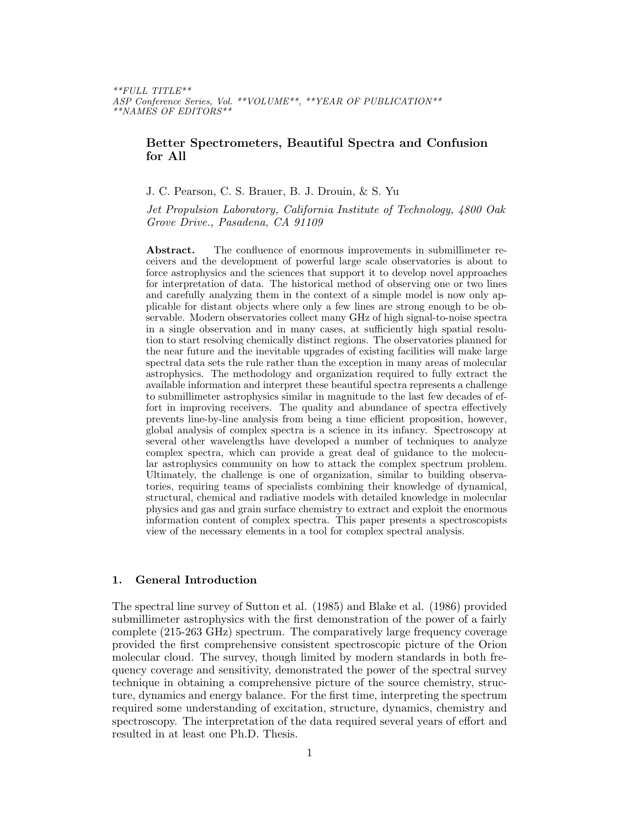\*\*FULL TITLE\*\* ASP Conference Series, Vol. \*\*VOLUME\*\*, \*\*YEAR OF PUBLICATION\*\* \*\*NAMES OF EDITORS\*\*

# Better Spectrometers, Beautiful Spectra and Confusion for All

J. C. Pearson, C. S. Brauer, B. J. Drouin, & S. Yu

Jet Propulsion Laboratory, California Institute of Technology, 4800 Oak Grove Drive., Pasadena, CA 91109

Abstract. The confluence of enormous improvements in submillimeter receivers and the development of powerful large scale observatories is about to force astrophysics and the sciences that support it to develop novel approaches for interpretation of data. The historical method of observing one or two lines and carefully analyzing them in the context of a simple model is now only applicable for distant objects where only a few lines are strong enough to be observable. Modern observatories collect many GHz of high signal-to-noise spectra in a single observation and in many cases, at sufficiently high spatial resolution to start resolving chemically distinct regions. The observatories planned for the near future and the inevitable upgrades of existing facilities will make large spectral data sets the rule rather than the exception in many areas of molecular astrophysics. The methodology and organization required to fully extract the available information and interpret these beautiful spectra represents a challenge to submillimeter astrophysics similar in magnitude to the last few decades of effort in improving receivers. The quality and abundance of spectra effectively prevents line-by-line analysis from being a time efficient proposition, however, global analysis of complex spectra is a science in its infancy. Spectroscopy at several other wavelengths have developed a number of techniques to analyze complex spectra, which can provide a great deal of guidance to the molecular astrophysics community on how to attack the complex spectrum problem. Ultimately, the challenge is one of organization, similar to building observatories, requiring teams of specialists combining their knowledge of dynamical, structural, chemical and radiative models with detailed knowledge in molecular physics and gas and grain surface chemistry to extract and exploit the enormous information content of complex spectra. This paper presents a spectroscopists view of the necessary elements in a tool for complex spectral analysis.

## 1. General Introduction

The spectral line survey of Sutton et al. (1985) and Blake et al. (1986) provided submillimeter astrophysics with the first demonstration of the power of a fairly complete (215-263 GHz) spectrum. The comparatively large frequency coverage provided the first comprehensive consistent spectroscopic picture of the Orion molecular cloud. The survey, though limited by modern standards in both frequency coverage and sensitivity, demonstrated the power of the spectral survey technique in obtaining a comprehensive picture of the source chemistry, structure, dynamics and energy balance. For the first time, interpreting the spectrum required some understanding of excitation, structure, dynamics, chemistry and spectroscopy. The interpretation of the data required several years of effort and resulted in at least one Ph.D. Thesis.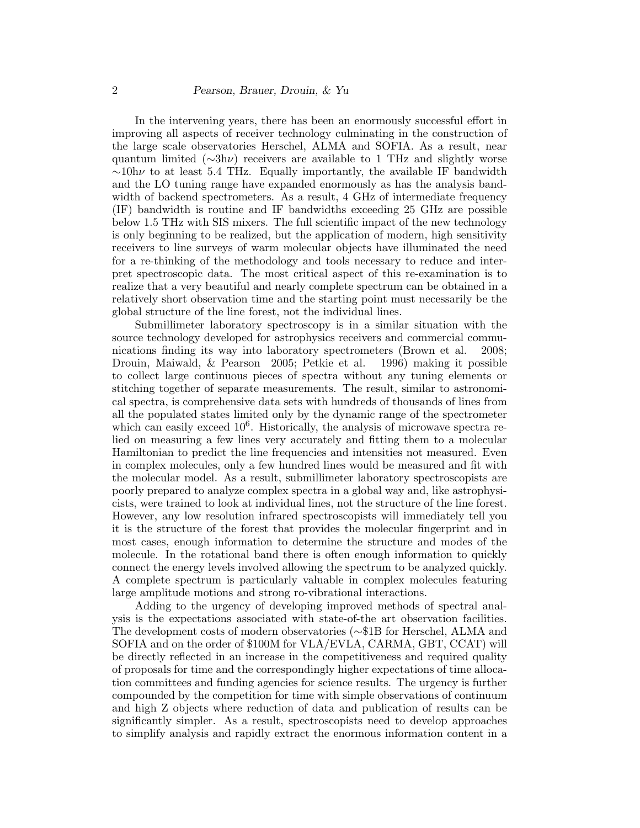In the intervening years, there has been an enormously successful effort in improving all aspects of receiver technology culminating in the construction of the large scale observatories Herschel, ALMA and SOFIA. As a result, near quantum limited ( $\sim 3h\nu$ ) receivers are available to 1 THz and slightly worse  $\sim$ 10h $\nu$  to at least 5.4 THz. Equally importantly, the available IF bandwidth and the LO tuning range have expanded enormously as has the analysis bandwidth of backend spectrometers. As a result, 4 GHz of intermediate frequency (IF) bandwidth is routine and IF bandwidths exceeding 25 GHz are possible below 1.5 THz with SIS mixers. The full scientific impact of the new technology is only beginning to be realized, but the application of modern, high sensitivity receivers to line surveys of warm molecular objects have illuminated the need for a re-thinking of the methodology and tools necessary to reduce and interpret spectroscopic data. The most critical aspect of this re-examination is to realize that a very beautiful and nearly complete spectrum can be obtained in a relatively short observation time and the starting point must necessarily be the global structure of the line forest, not the individual lines.

Submillimeter laboratory spectroscopy is in a similar situation with the source technology developed for astrophysics receivers and commercial communications finding its way into laboratory spectrometers (Brown et al. 2008; Drouin, Maiwald, & Pearson 2005; Petkie et al. 1996) making it possible to collect large continuous pieces of spectra without any tuning elements or stitching together of separate measurements. The result, similar to astronomical spectra, is comprehensive data sets with hundreds of thousands of lines from all the populated states limited only by the dynamic range of the spectrometer which can easily exceed  $10^6$ . Historically, the analysis of microwave spectra relied on measuring a few lines very accurately and fitting them to a molecular Hamiltonian to predict the line frequencies and intensities not measured. Even in complex molecules, only a few hundred lines would be measured and fit with the molecular model. As a result, submillimeter laboratory spectroscopists are poorly prepared to analyze complex spectra in a global way and, like astrophysicists, were trained to look at individual lines, not the structure of the line forest. However, any low resolution infrared spectroscopists will immediately tell you it is the structure of the forest that provides the molecular fingerprint and in most cases, enough information to determine the structure and modes of the molecule. In the rotational band there is often enough information to quickly connect the energy levels involved allowing the spectrum to be analyzed quickly. A complete spectrum is particularly valuable in complex molecules featuring large amplitude motions and strong ro-vibrational interactions.

Adding to the urgency of developing improved methods of spectral analysis is the expectations associated with state-of-the art observation facilities. The development costs of modern observatories (∼\$1B for Herschel, ALMA and SOFIA and on the order of \$100M for VLA/EVLA, CARMA, GBT, CCAT) will be directly reflected in an increase in the competitiveness and required quality of proposals for time and the correspondingly higher expectations of time allocation committees and funding agencies for science results. The urgency is further compounded by the competition for time with simple observations of continuum and high Z objects where reduction of data and publication of results can be significantly simpler. As a result, spectroscopists need to develop approaches to simplify analysis and rapidly extract the enormous information content in a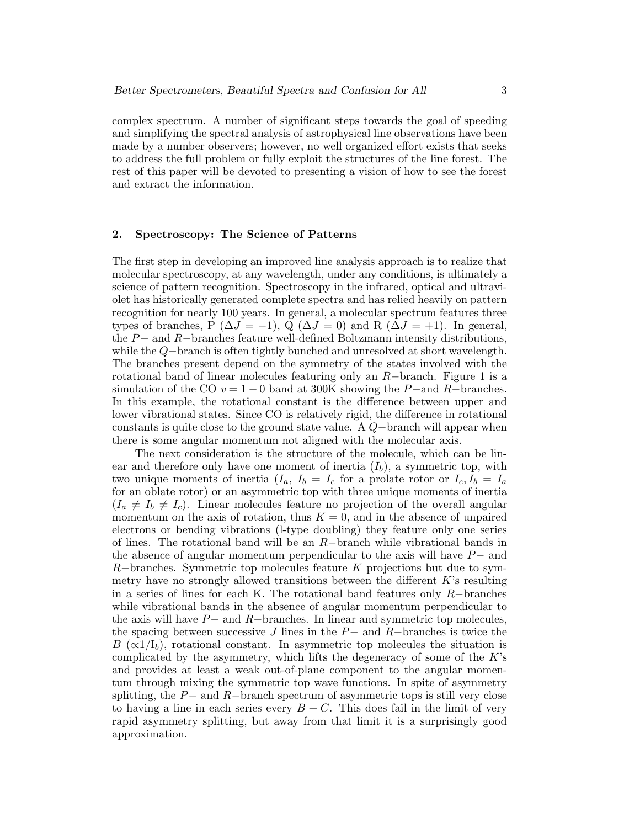complex spectrum. A number of significant steps towards the goal of speeding and simplifying the spectral analysis of astrophysical line observations have been made by a number observers; however, no well organized effort exists that seeks to address the full problem or fully exploit the structures of the line forest. The rest of this paper will be devoted to presenting a vision of how to see the forest and extract the information.

## 2. Spectroscopy: The Science of Patterns

The first step in developing an improved line analysis approach is to realize that molecular spectroscopy, at any wavelength, under any conditions, is ultimately a science of pattern recognition. Spectroscopy in the infrared, optical and ultraviolet has historically generated complete spectra and has relied heavily on pattern recognition for nearly 100 years. In general, a molecular spectrum features three types of branches, P ( $\Delta J = -1$ ), Q ( $\Delta J = 0$ ) and R ( $\Delta J = +1$ ). In general, the P− and R−branches feature well-defined Boltzmann intensity distributions, while the Q−branch is often tightly bunched and unresolved at short wavelength. The branches present depend on the symmetry of the states involved with the rotational band of linear molecules featuring only an R−branch. Figure 1 is a simulation of the CO  $v = 1 - 0$  band at 300K showing the P-and R-branches. In this example, the rotational constant is the difference between upper and lower vibrational states. Since CO is relatively rigid, the difference in rotational constants is quite close to the ground state value. A Q−branch will appear when there is some angular momentum not aligned with the molecular axis.

The next consideration is the structure of the molecule, which can be linear and therefore only have one moment of inertia  $(I_b)$ , a symmetric top, with two unique moments of inertia  $(I_a, I_b = I_c$  for a prolate rotor or  $I_c, I_b = I_a$ for an oblate rotor) or an asymmetric top with three unique moments of inertia  $(I_a \neq I_b \neq I_c)$ . Linear molecules feature no projection of the overall angular momentum on the axis of rotation, thus  $K = 0$ , and in the absence of unpaired electrons or bending vibrations (l-type doubling) they feature only one series of lines. The rotational band will be an R−branch while vibrational bands in the absence of angular momentum perpendicular to the axis will have P− and  $R$ –branches. Symmetric top molecules feature K projections but due to symmetry have no strongly allowed transitions between the different  $K$ 's resulting in a series of lines for each K. The rotational band features only  $R-$ branches while vibrational bands in the absence of angular momentum perpendicular to the axis will have  $P-$  and  $R-$ branches. In linear and symmetric top molecules, the spacing between successive J lines in the  $P-$  and  $R-$ branches is twice the B ( $\alpha$ 1/I<sub>b</sub>), rotational constant. In asymmetric top molecules the situation is complicated by the asymmetry, which lifts the degeneracy of some of the  $K$ 's and provides at least a weak out-of-plane component to the angular momentum through mixing the symmetric top wave functions. In spite of asymmetry splitting, the  $P-$  and  $R-$ branch spectrum of asymmetric tops is still very close to having a line in each series every  $B + C$ . This does fail in the limit of very rapid asymmetry splitting, but away from that limit it is a surprisingly good approximation.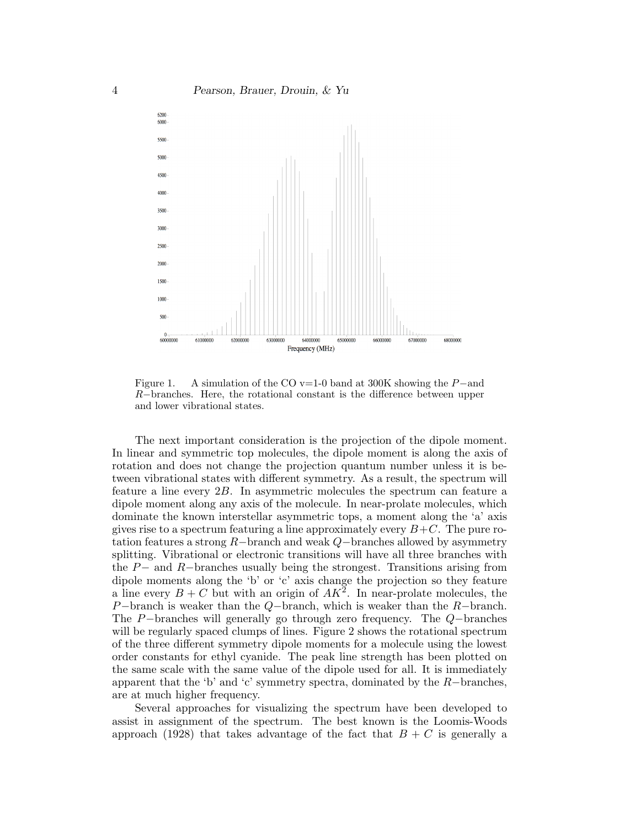

Figure 1. A simulation of the CO v=1-0 band at 300K showing the P−and R−branches. Here, the rotational constant is the difference between upper and lower vibrational states.

The next important consideration is the projection of the dipole moment. In linear and symmetric top molecules, the dipole moment is along the axis of rotation and does not change the projection quantum number unless it is between vibrational states with different symmetry. As a result, the spectrum will feature a line every 2B. In asymmetric molecules the spectrum can feature a dipole moment along any axis of the molecule. In near-prolate molecules, which dominate the known interstellar asymmetric tops, a moment along the 'a' axis gives rise to a spectrum featuring a line approximately every  $B+C$ . The pure rotation features a strong R−branch and weak Q−branches allowed by asymmetry splitting. Vibrational or electronic transitions will have all three branches with the P− and R−branches usually being the strongest. Transitions arising from dipole moments along the 'b' or 'c' axis change the projection so they feature a line every  $B + C$  but with an origin of  $AK^2$ . In near-prolate molecules, the P−branch is weaker than the  $Q$ −branch, which is weaker than the  $R-$ branch. The P−branches will generally go through zero frequency. The Q−branches will be regularly spaced clumps of lines. Figure 2 shows the rotational spectrum of the three different symmetry dipole moments for a molecule using the lowest order constants for ethyl cyanide. The peak line strength has been plotted on the same scale with the same value of the dipole used for all. It is immediately apparent that the 'b' and 'c' symmetry spectra, dominated by the  $R-$ branches, are at much higher frequency.

Several approaches for visualizing the spectrum have been developed to assist in assignment of the spectrum. The best known is the Loomis-Woods approach (1928) that takes advantage of the fact that  $B + C$  is generally a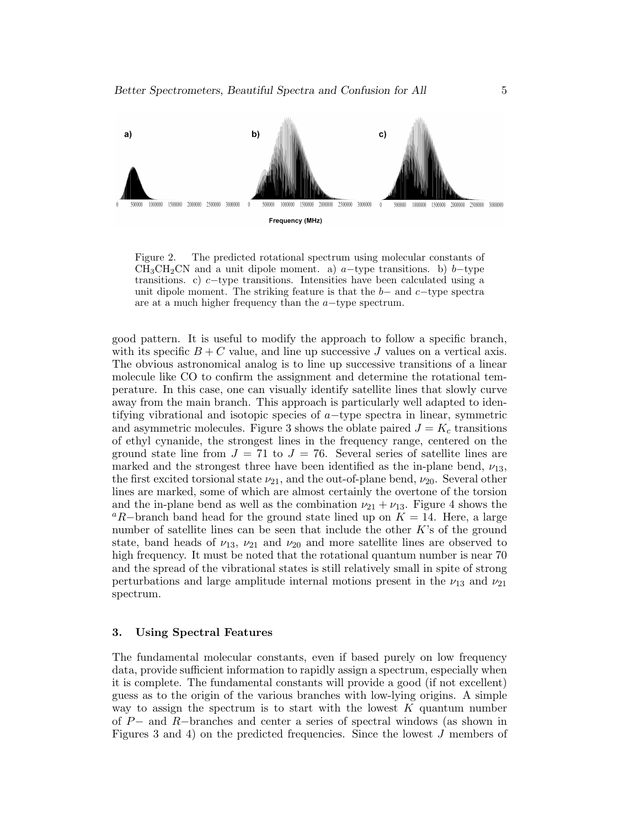

Figure 2. The predicted rotational spectrum using molecular constants of  $CH<sub>3</sub>CH<sub>2</sub>CN$  and a unit dipole moment. a) a−type transitions. b) b−type transitions. c) c−type transitions. Intensities have been calculated using a unit dipole moment. The striking feature is that the  $b-$  and  $c-$ type spectra are at a much higher frequency than the a−type spectrum.

good pattern. It is useful to modify the approach to follow a specific branch, with its specific  $B + C$  value, and line up successive J values on a vertical axis. The obvious astronomical analog is to line up successive transitions of a linear molecule like CO to confirm the assignment and determine the rotational temperature. In this case, one can visually identify satellite lines that slowly curve away from the main branch. This approach is particularly well adapted to identifying vibrational and isotopic species of a−type spectra in linear, symmetric and asymmetric molecules. Figure 3 shows the oblate paired  $J = K_c$  transitions of ethyl cynanide, the strongest lines in the frequency range, centered on the ground state line from  $J = 71$  to  $J = 76$ . Several series of satellite lines are marked and the strongest three have been identified as the in-plane bend,  $\nu_{13}$ , the first excited torsional state  $\nu_{21}$ , and the out-of-plane bend,  $\nu_{20}$ . Several other lines are marked, some of which are almost certainly the overtone of the torsion and the in-plane bend as well as the combination  $\nu_{21} + \nu_{13}$ . Figure 4 shows the <sup>a</sup>R−branch band head for the ground state lined up on  $K = 14$ . Here, a large number of satellite lines can be seen that include the other  $K$ 's of the ground state, band heads of  $\nu_{13}$ ,  $\nu_{21}$  and  $\nu_{20}$  and more satellite lines are observed to high frequency. It must be noted that the rotational quantum number is near  $70$ and the spread of the vibrational states is still relatively small in spite of strong perturbations and large amplitude internal motions present in the  $\nu_{13}$  and  $\nu_{21}$ spectrum.

## 3. Using Spectral Features

The fundamental molecular constants, even if based purely on low frequency data, provide sufficient information to rapidly assign a spectrum, especially when it is complete. The fundamental constants will provide a good (if not excellent) guess as to the origin of the various branches with low-lying origins. A simple way to assign the spectrum is to start with the lowest  $K$  quantum number of P− and R−branches and center a series of spectral windows (as shown in Figures 3 and 4) on the predicted frequencies. Since the lowest J members of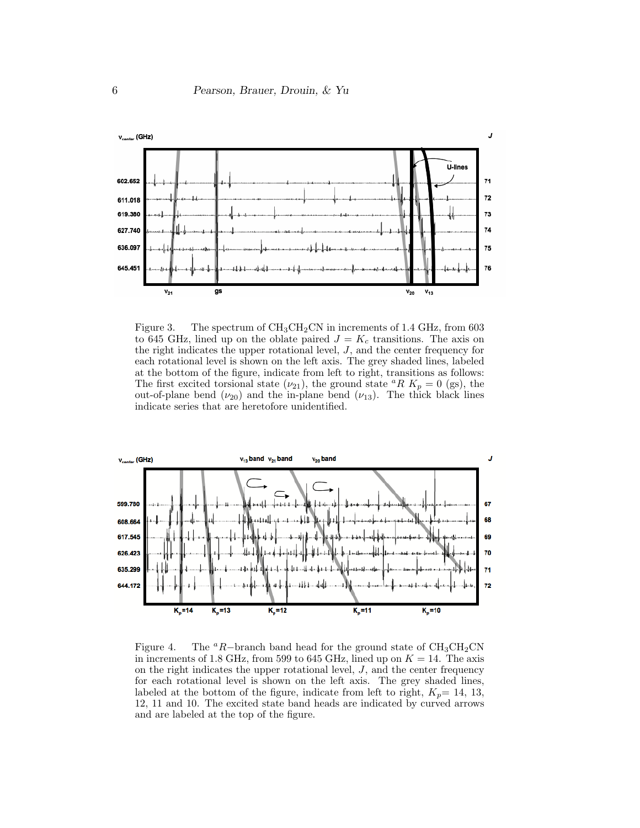

Figure 3. The spectrum of  $CH_3CH_2CN$  in increments of 1.4 GHz, from 603 to 645 GHz, lined up on the oblate paired  $J = K_c$  transitions. The axis on the right indicates the upper rotational level, J, and the center frequency for each rotational level is shown on the left axis. The grey shaded lines, labeled at the bottom of the figure, indicate from left to right, transitions as follows: The first excited torsional state  $(\nu_{21})$ , the ground state <sup>a</sup>R  $K_p = 0$  (gs), the out-of-plane bend  $(\nu_{20})$  and the in-plane bend  $(\nu_{13})$ . The thick black lines indicate series that are heretofore unidentified.



Figure 4. The <sup>a</sup>R−branch band head for the ground state of  $CH_3CH_2CN$ in increments of 1.8 GHz, from 599 to 645 GHz, lined up on  $K = 14$ . The axis on the right indicates the upper rotational level,  $J$ , and the center frequency for each rotational level is shown on the left axis. The grey shaded lines, labeled at the bottom of the figure, indicate from left to right,  $K_p= 14, 13,$ 12, 11 and 10. The excited state band heads are indicated by curved arrows and are labeled at the top of the figure.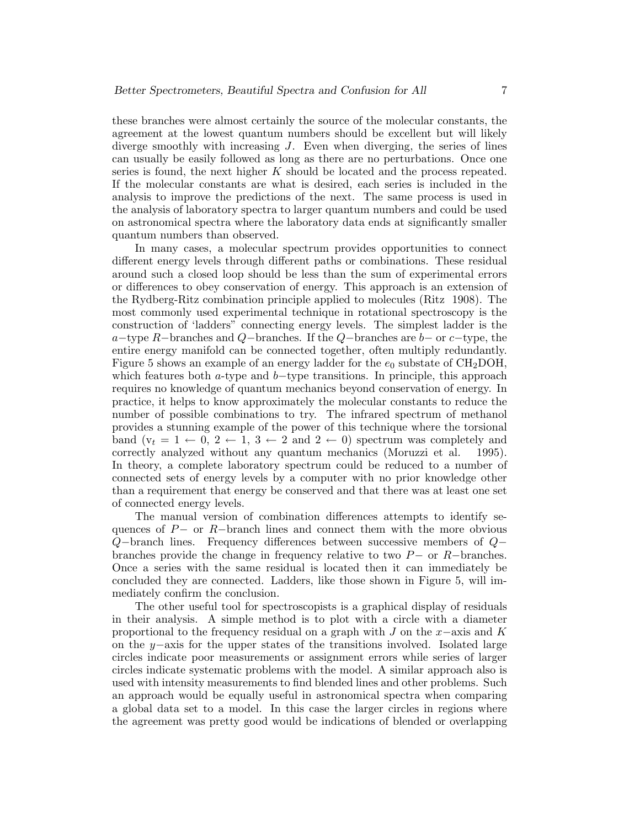these branches were almost certainly the source of the molecular constants, the agreement at the lowest quantum numbers should be excellent but will likely diverge smoothly with increasing  $J$ . Even when diverging, the series of lines can usually be easily followed as long as there are no perturbations. Once one series is found, the next higher K should be located and the process repeated. If the molecular constants are what is desired, each series is included in the analysis to improve the predictions of the next. The same process is used in the analysis of laboratory spectra to larger quantum numbers and could be used on astronomical spectra where the laboratory data ends at significantly smaller quantum numbers than observed.

In many cases, a molecular spectrum provides opportunities to connect different energy levels through different paths or combinations. These residual around such a closed loop should be less than the sum of experimental errors or differences to obey conservation of energy. This approach is an extension of the Rydberg-Ritz combination principle applied to molecules (Ritz 1908). The most commonly used experimental technique in rotational spectroscopy is the construction of 'ladders" connecting energy levels. The simplest ladder is the a−type R−branches and Q−branches. If the Q−branches are  $b-$  or  $c$ −type, the entire energy manifold can be connected together, often multiply redundantly. Figure 5 shows an example of an energy ladder for the  $e_0$  substate of CH<sub>2</sub>DOH, which features both a-type and b−type transitions. In principle, this approach requires no knowledge of quantum mechanics beyond conservation of energy. In practice, it helps to know approximately the molecular constants to reduce the number of possible combinations to try. The infrared spectrum of methanol provides a stunning example of the power of this technique where the torsional band  $(v_t = 1 \leftarrow 0, 2 \leftarrow 1, 3 \leftarrow 2$  and  $2 \leftarrow 0$ ) spectrum was completely and correctly analyzed without any quantum mechanics (Moruzzi et al. 1995). In theory, a complete laboratory spectrum could be reduced to a number of connected sets of energy levels by a computer with no prior knowledge other than a requirement that energy be conserved and that there was at least one set of connected energy levels.

The manual version of combination differences attempts to identify sequences of P− or R−branch lines and connect them with the more obvious Q−branch lines. Frequency differences between successive members of Q− branches provide the change in frequency relative to two P− or R−branches. Once a series with the same residual is located then it can immediately be concluded they are connected. Ladders, like those shown in Figure 5, will immediately confirm the conclusion.

The other useful tool for spectroscopists is a graphical display of residuals in their analysis. A simple method is to plot with a circle with a diameter proportional to the frequency residual on a graph with  $J$  on the  $x$ −axis and  $K$ on the y−axis for the upper states of the transitions involved. Isolated large circles indicate poor measurements or assignment errors while series of larger circles indicate systematic problems with the model. A similar approach also is used with intensity measurements to find blended lines and other problems. Such an approach would be equally useful in astronomical spectra when comparing a global data set to a model. In this case the larger circles in regions where the agreement was pretty good would be indications of blended or overlapping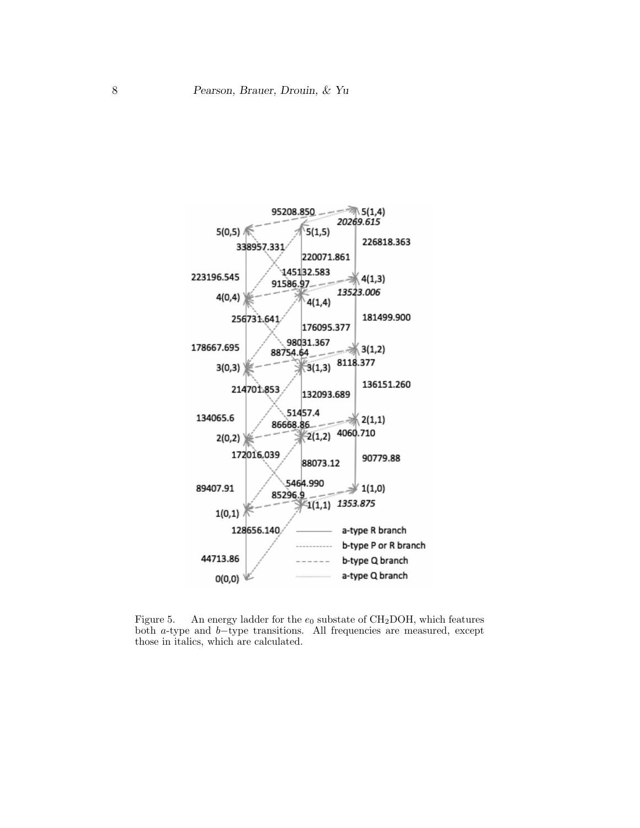

Figure 5. An energy ladder for the  $e_0$  substate of CH<sub>2</sub>DOH, which features both a-type and b−type transitions. All frequencies are measured, except those in italics, which are calculated.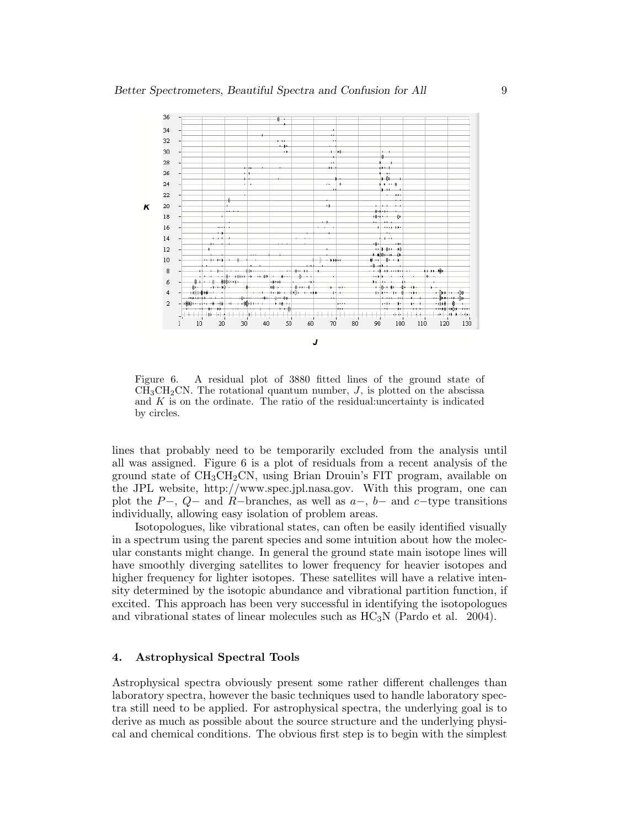

Figure 6. A residual plot of 3880 fitted lines of the ground state of  $CH<sub>3</sub>CH<sub>2</sub>CN$ . The rotational quantum number,  $J$ , is plotted on the abscissa and  $K$  is on the ordinate. The ratio of the residual:uncertainty is indicated by circles.

lines that probably need to be temporarily excluded from the analysis until all was assigned. Figure 6 is a plot of residuals from a recent analysis of the ground state of  $CH_3CH_2CN$ , using Brian Drouin's FIT program, available on the JPL website, http://www.spec.jpl.nasa.gov. With this program, one can plot the P−,  $Q-$  and R−branches, as well as  $a-$ ,  $b-$  and  $c-$ type transitions individually, allowing easy isolation of problem areas.

Isotopologues, like vibrational states, can often be easily identified visually in a spectrum using the parent species and some intuition about how the molecular constants might change. In general the ground state main isotope lines will have smoothly diverging satellites to lower frequency for heavier isotopes and higher frequency for lighter isotopes. These satellites will have a relative intensity determined by the isotopic abundance and vibrational partition function, if excited. This approach has been very successful in identifying the isotopologues and vibrational states of linear molecules such as  $HC_3N$  (Pardo et al. 2004).

## 4. Astrophysical Spectral Tools

Astrophysical spectra obviously present some rather different challenges than laboratory spectra, however the basic techniques used to handle laboratory spectra still need to be applied. For astrophysical spectra, the underlying goal is to derive as much as possible about the source structure and the underlying physical and chemical conditions. The obvious first step is to begin with the simplest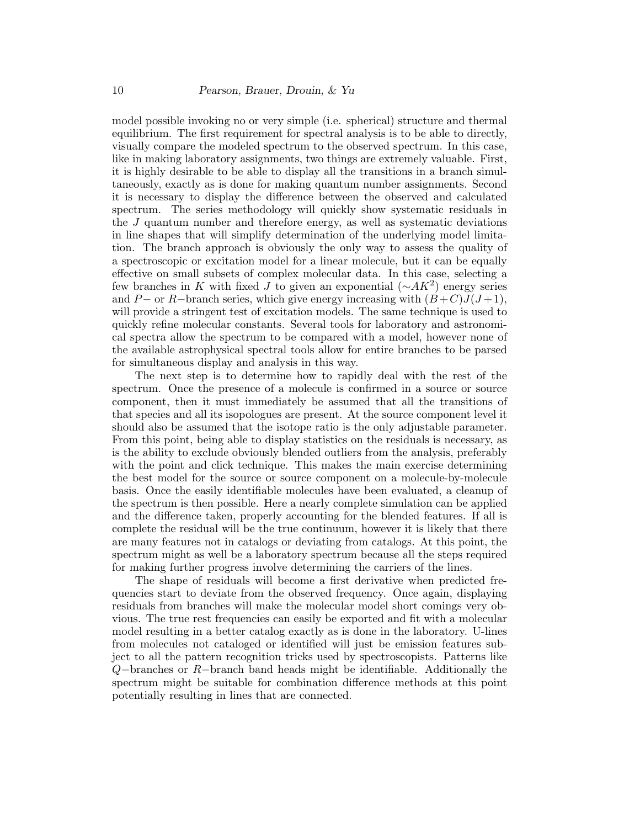model possible invoking no or very simple (i.e. spherical) structure and thermal equilibrium. The first requirement for spectral analysis is to be able to directly, visually compare the modeled spectrum to the observed spectrum. In this case, like in making laboratory assignments, two things are extremely valuable. First, it is highly desirable to be able to display all the transitions in a branch simultaneously, exactly as is done for making quantum number assignments. Second it is necessary to display the difference between the observed and calculated spectrum. The series methodology will quickly show systematic residuals in the  $J$  quantum number and therefore energy, as well as systematic deviations in line shapes that will simplify determination of the underlying model limitation. The branch approach is obviously the only way to assess the quality of a spectroscopic or excitation model for a linear molecule, but it can be equally effective on small subsets of complex molecular data. In this case, selecting a few branches in K with fixed J to given an exponential  $(∼AK^2)$  energy series and P– or R–branch series, which give energy increasing with  $(B+C)J(J+1)$ , will provide a stringent test of excitation models. The same technique is used to quickly refine molecular constants. Several tools for laboratory and astronomical spectra allow the spectrum to be compared with a model, however none of the available astrophysical spectral tools allow for entire branches to be parsed for simultaneous display and analysis in this way.

The next step is to determine how to rapidly deal with the rest of the spectrum. Once the presence of a molecule is confirmed in a source or source component, then it must immediately be assumed that all the transitions of that species and all its isopologues are present. At the source component level it should also be assumed that the isotope ratio is the only adjustable parameter. From this point, being able to display statistics on the residuals is necessary, as is the ability to exclude obviously blended outliers from the analysis, preferably with the point and click technique. This makes the main exercise determining the best model for the source or source component on a molecule-by-molecule basis. Once the easily identifiable molecules have been evaluated, a cleanup of the spectrum is then possible. Here a nearly complete simulation can be applied and the difference taken, properly accounting for the blended features. If all is complete the residual will be the true continuum, however it is likely that there are many features not in catalogs or deviating from catalogs. At this point, the spectrum might as well be a laboratory spectrum because all the steps required for making further progress involve determining the carriers of the lines.

The shape of residuals will become a first derivative when predicted frequencies start to deviate from the observed frequency. Once again, displaying residuals from branches will make the molecular model short comings very obvious. The true rest frequencies can easily be exported and fit with a molecular model resulting in a better catalog exactly as is done in the laboratory. U-lines from molecules not cataloged or identified will just be emission features subject to all the pattern recognition tricks used by spectroscopists. Patterns like Q−branches or R−branch band heads might be identifiable. Additionally the spectrum might be suitable for combination difference methods at this point potentially resulting in lines that are connected.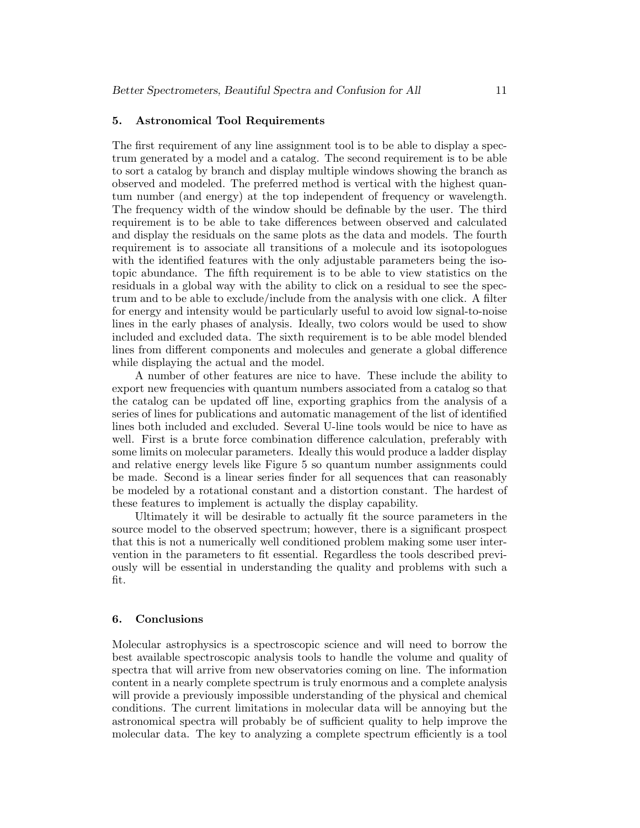#### 5. Astronomical Tool Requirements

The first requirement of any line assignment tool is to be able to display a spectrum generated by a model and a catalog. The second requirement is to be able to sort a catalog by branch and display multiple windows showing the branch as observed and modeled. The preferred method is vertical with the highest quantum number (and energy) at the top independent of frequency or wavelength. The frequency width of the window should be definable by the user. The third requirement is to be able to take differences between observed and calculated and display the residuals on the same plots as the data and models. The fourth requirement is to associate all transitions of a molecule and its isotopologues with the identified features with the only adjustable parameters being the isotopic abundance. The fifth requirement is to be able to view statistics on the residuals in a global way with the ability to click on a residual to see the spectrum and to be able to exclude/include from the analysis with one click. A filter for energy and intensity would be particularly useful to avoid low signal-to-noise lines in the early phases of analysis. Ideally, two colors would be used to show included and excluded data. The sixth requirement is to be able model blended lines from different components and molecules and generate a global difference while displaying the actual and the model.

A number of other features are nice to have. These include the ability to export new frequencies with quantum numbers associated from a catalog so that the catalog can be updated off line, exporting graphics from the analysis of a series of lines for publications and automatic management of the list of identified lines both included and excluded. Several U-line tools would be nice to have as well. First is a brute force combination difference calculation, preferably with some limits on molecular parameters. Ideally this would produce a ladder display and relative energy levels like Figure 5 so quantum number assignments could be made. Second is a linear series finder for all sequences that can reasonably be modeled by a rotational constant and a distortion constant. The hardest of these features to implement is actually the display capability.

Ultimately it will be desirable to actually fit the source parameters in the source model to the observed spectrum; however, there is a significant prospect that this is not a numerically well conditioned problem making some user intervention in the parameters to fit essential. Regardless the tools described previously will be essential in understanding the quality and problems with such a fit.

#### 6. Conclusions

Molecular astrophysics is a spectroscopic science and will need to borrow the best available spectroscopic analysis tools to handle the volume and quality of spectra that will arrive from new observatories coming on line. The information content in a nearly complete spectrum is truly enormous and a complete analysis will provide a previously impossible understanding of the physical and chemical conditions. The current limitations in molecular data will be annoying but the astronomical spectra will probably be of sufficient quality to help improve the molecular data. The key to analyzing a complete spectrum efficiently is a tool